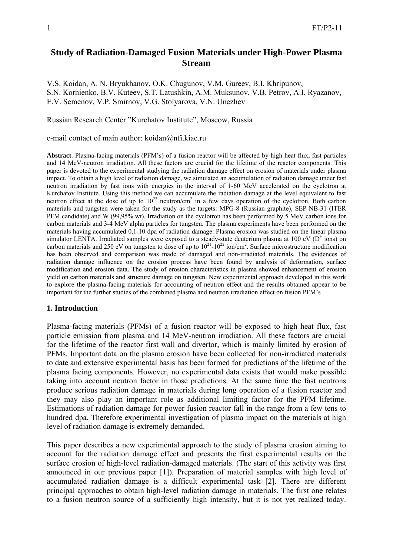# **Study of Radiation-Damaged Fusion Materials under High-Power Plasma Stream**

V.S. Koidan, A. N. Bryukhanov, O.K. Chugunov, V.M. Gureev, B.I. Khripunov, S.N. Kornienko, B.V. Kuteev, S.T. Latushkin, A.M. Muksunov, V.B. Petrov, A.I. Ryazanov, E.V. Semenov, V.P. Smirnov, V.G. Stolyarova, V.N. Unezhev

Russian Research Center "Kurchatov Institute", Moscow, Russia

e-mail contact of main author: koidan@nfi.kiae.ru

**Abstract**. Plasma-facing materials (PFM's) of a fusion reactor will be affected by high heat flux, fast particles and 14 MeV-neutron irradiation. All these factors are crucial for the lifetime of the reactor components. This paper is devoted to the experimental studying the radiation damage effect on erosion of materials under plasma impact. To obtain a high level of radiation damage, we simulated an accumulation of radiation damage under fast neutron irradiation by fast ions with energies in the interval of 1-60 MeV accelerated on the cyclotron at Kurchatov Institute. Using this method we can accumulate the radiation damage at the level equivalent to fast neutron effect at the dose of up to  $10^{22}$  neutron/cm<sup>2</sup> in a few days operation of the cyclotron. Both carbon materials and tungsten were taken for the study as the targets: MPG-8 (Russian graphite), SEP NB-31 (ITER PFM candidate) and W (99,95% wt). Irradiation on the cyclotron has been performed by 5 MeV carbon ions for carbon materials and 3-4 MeV alpha particles for tungsten. The plasma experiments have been performed on the materials having accumulated 0,1-10 dpa of radiation damage. Plasma erosion was studied on the linear plasma simulator LENTA. Irradiated samples were exposed to a steady-state deuterium plasma at 100 eV ( $D^+$  ions) on carbon materials and 250 eV on tungsten to dose of up to  $10^{21}$ - $10^{22}$  ion/cm<sup>2</sup>. Surface microstructure modification has been observed and comparison was made of damaged and non-irradiated materials. The evidences of radiation damage influence on the erosion process have been found by analysis of deformation, surface modification and erosion data. The study of erosion characteristics in plasma showed enhancement of erosion yield on carbon materials and structure damage on tungsten. New experimental approach developed in this work to explore the plasma-facing materials for accounting of neutron effect and the results obtained appear to be important for the further studies of the combined plasma and neutron irradiation effect on fusion PFM's .

#### **1. Introduction**

Plasma-facing materials (PFMs) of a fusion reactor will be exposed to high heat flux, fast particle emission from plasma and 14 MeV-neutron irradiation. All these factors are crucial for the lifetime of the reactor first wall and divertor, which is mainly limited by erosion of PFMs. Important data on the plasma erosion have been collected for non-irradiated materials to date and extensive experimental basis has been formed for predictions of the lifetime of the plasma facing components. However, no experimental data exists that would make possible taking into account neutron factor in those predictions. At the same time the fast neutrons produce serious radiation damage in materials during long operation of a fusion reactor and they may also play an important role as additional limiting factor for the PFM lifetime. Estimations of radiation damage for power fusion reactor fall in the range from a few tens to hundred dpa. Therefore experimental investigation of plasma impact on the materials at high level of radiation damage is extremely demanded.

This paper describes a new experimental approach to the study of plasma erosion aiming to account for the radiation damage effect and presents the first experimental results on the surface erosion of high-level radiation-damaged materials. (The start of this activity was first announced in our previous paper [1]). Preparation of material samples with high level of accumulated radiation damage is a difficult experimental task [2]. There are different principal approaches to obtain high-level radiation damage in materials. The first one relates to a fusion neutron source of a sufficiently high intensity, but it is not yet realized today.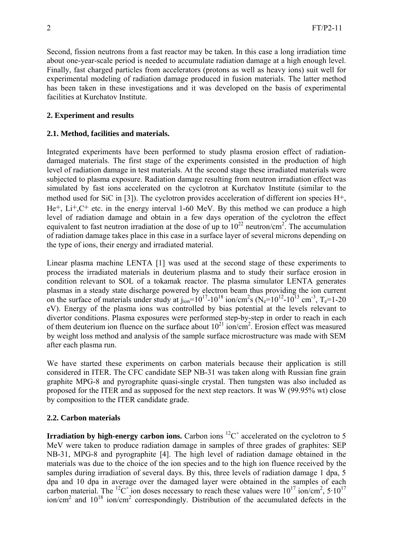Second, fission neutrons from a fast reactor may be taken. In this case a long irradiation time about one-year-scale period is needed to accumulate radiation damage at a high enough level. Finally, fast charged particles from accelerators (protons as well as heavy ions) suit well for experimental modeling of radiation damage produced in fusion materials. The latter method has been taken in these investigations and it was developed on the basis of experimental facilities at Kurchatov Institute.

## **2. Experiment and results**

## **2.1. Method, facilities and materials.**

Integrated experiments have been performed to study plasma erosion effect of radiationdamaged materials. The first stage of the experiments consisted in the production of high level of radiation damage in test materials. At the second stage these irradiated materials were subjected to plasma exposure. Radiation damage resulting from neutron irradiation effect was simulated by fast ions accelerated on the cyclotron at Kurchatov Institute (similar to the method used for SiC in [3]). The cyclotron provides acceleration of different ion species  $H^+$ ,  $He<sup>+</sup>$ ,  $Li<sup>+</sup>$ ,  $C<sup>+</sup>$  etc. in the energy interval 1-60 MeV. By this method we can produce a high level of radiation damage and obtain in a few days operation of the cyclotron the effect equivalent to fast neutron irradiation at the dose of up to  $10^{22}$  neutron/cm<sup>2</sup>. The accumulation of radiation damage takes place in this case in a surface layer of several microns depending on the type of ions, their energy and irradiated material.

Linear plasma machine LENTA [1] was used at the second stage of these experiments to process the irradiated materials in deuterium plasma and to study their surface erosion in condition relevant to SOL of a tokamak reactor. The plasma simulator LENTA generates plasmas in a steady state discharge powered by electron beam thus providing the ion current on the surface of materials under study at  $j_{ion}=10^{17}-10^{18}$  ion/cm<sup>2</sup>s (N<sub>e</sub>=10<sup>12</sup>-10<sup>13</sup> cm<sup>-3</sup>, T<sub>e</sub>=1-20 eV). Energy of the plasma ions was controlled by bias potential at the levels relevant to divertor conditions. Plasma exposures were performed step-by-step in order to reach in each of them deuterium ion fluence on the surface about  $10^{21}$  ion/cm<sup>2</sup>. Erosion effect was measured by weight loss method and analysis of the sample surface microstructure was made with SEM after each plasma run.

We have started these experiments on carbon materials because their application is still considered in ITER. The CFC candidate SEP NB-31 was taken along with Russian fine grain graphite MPG-8 and pyrographite quasi-single crystal. Then tungsten was also included as proposed for the ITER and as supposed for the next step reactors. It was W (99.95% wt) close by composition to the ITER candidate grade.

## **2.2. Carbon materials**

**Irradiation by high-energy carbon ions.** Carbon ions  ${}^{12}C^+$  accelerated on the cyclotron to 5 MeV were taken to produce radiation damage in samples of three grades of graphites: SEP NB-31, MPG-8 and pyrographite [4]. The high level of radiation damage obtained in the materials was due to the choice of the ion species and to the high ion fluence received by the samples during irradiation of several days. By this, three levels of radiation damage 1 dpa, 5 dpa and 10 dpa in average over the damaged layer were obtained in the samples of each carbon material. The <sup>12</sup>C<sup>+</sup> ion doses necessary to reach these values were  $10^{17}$  ion/cm<sup>2</sup>,  $5.10^{17}$ ion/cm<sup>2</sup> and  $10^{18}$  ion/cm<sup>2</sup> correspondingly. Distribution of the accumulated defects in the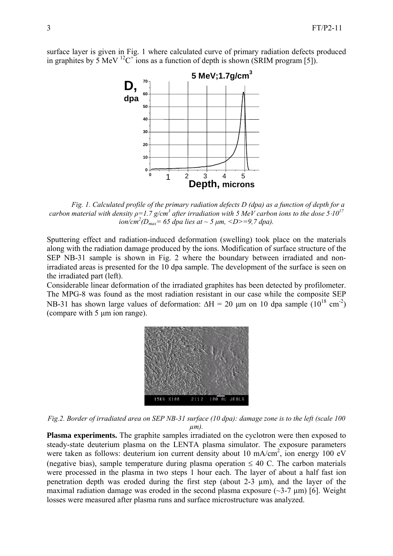surface layer is given in Fig. 1 where calculated curve of primary radiation defects produced in graphites by 5 MeV <sup>12</sup>C<sup>+</sup> ions as a function of depth is shown (SRIM program [5]).



*Fig. 1. Calculated profile of the primary radiation defects D (dpa) as a function of depth for a carbon material with density ρ=1.7 g/cm3 after irradiation with 5 MeV carbon ions to the dose 5*⋅*1017*  $\frac{1}{2}$  *ion/cm<sup>2</sup>* ( $D_{max}$  = 65 dpa lies at  $\sim$  5  $\mu$ m, <D>=9,7 dpa).

Sputtering effect and radiation-induced deformation (swelling) took place on the materials along with the radiation damage produced by the ions. Modification of surface structure of the SEP NB-31 sample is shown in Fig. 2 where the boundary between irradiated and nonirradiated areas is presented for the 10 dpa sample. The development of the surface is seen on the irradiated part (left).

Considerable linear deformation of the irradiated graphites has been detected by profilometer. The MPG-8 was found as the most radiation resistant in our case while the composite SEP NB-31 has shown large values of deformation:  $\Delta H = 20 \mu m$  on 10 dpa sample  $(10^{18} \text{ cm}^2)$ (compare with 5 μm ion range).



*Fig.2. Border of irradiated area on SEP NB-31 surface (10 dpa): damage zone is to the left (scale 100 µm).* 

**Plasma experiments.** The graphite samples irradiated on the cyclotron were then exposed to steady-state deuterium plasma on the LENTA plasma simulator. The exposure parameters were taken as follows: deuterium ion current density about 10 mA/cm<sup>2</sup>, ion energy 100 eV (negative bias), sample temperature during plasma operation  $\leq 40$  C. The carbon materials were processed in the plasma in two steps 1 hour each. The layer of about a half fast ion penetration depth was eroded during the first step (about 2-3 µm), and the layer of the maximal radiation damage was eroded in the second plasma exposure  $(\sim 3-7 \mu m)$  [6]. Weight losses were measured after plasma runs and surface microstructure was analyzed.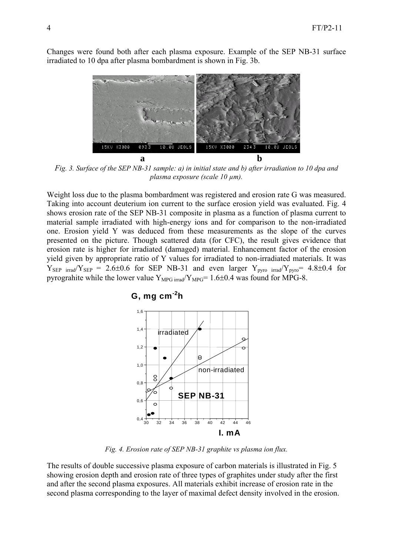Changes were found both after each plasma exposure. Example of the SEP NB-31 surface irradiated to 10 dpa after plasma bombardment is shown in Fig. 3b.



*Fig. 3. Surface of the SEP NB-31 sample: a) in initial state and b) after irradiation to 10 dpa and plasma exposure (scale 10 µm).* 

Weight loss due to the plasma bombardment was registered and erosion rate G was measured. Taking into account deuterium ion current to the surface erosion yield was evaluated. Fig. 4 shows erosion rate of the SEP NB-31 composite in plasma as a function of plasma current to material sample irradiated with high-energy ions and for comparison to the non-irradiated one. Erosion yield Y was deduced from these measurements as the slope of the curves presented on the picture. Though scattered data (for CFC), the result gives evidence that erosion rate is higher for irradiated (damaged) material. Enhancement factor of the erosion yield given by appropriate ratio of Y values for irradiated to non-irradiated materials. It was  $Y_{\text{SEP}}$  irrad/ $Y_{\text{SEP}}$  = 2.6±0.6 for SEP NB-31 and even larger  $Y_{\text{pyro}}$  irrad/ $Y_{\text{pyro}}$  = 4.8±0.4 for pyrograhite while the lower value  $Y_{MPG\,irrad}/Y_{MPG}= 1.6\pm0.4$  was found for MPG-8.



*Fig. 4. Erosion rate of SEP NB-31 graphite vs plasma ion flux.* 

The results of double successive plasma exposure of carbon materials is illustrated in Fig. 5 showing erosion depth and erosion rate of three types of graphites under study after the first and after the second plasma exposures. All materials exhibit increase of erosion rate in the second plasma corresponding to the layer of maximal defect density involved in the erosion.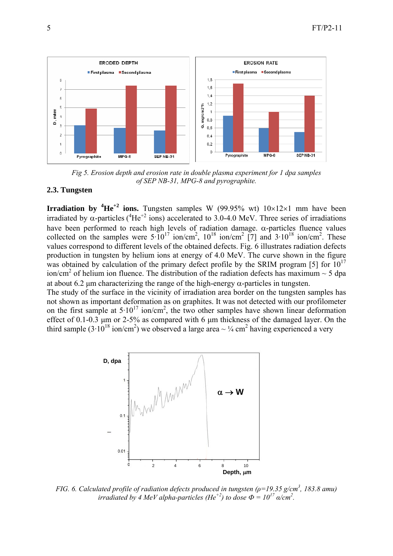

*Fig 5. Erosion depth and erosion rate in double plasma experiment for 1 dpa samples of SEP NB-31, MPG-8 and pyrographite.* 

#### **2.3. Tungsten**

**Irradiation by**  ${}^{4}He^{+2}$  **ions.** Tungsten samples W (99.95% wt)  $10\times12\times1$  mm have been irradiated by  $\alpha$ -particles (<sup>4</sup>He<sup>+2</sup> ions) accelerated to 3.0-4.0 MeV. Three series of irradiations have been performed to reach high levels of radiation damage.  $\alpha$ -particles fluence values collected on the samples were  $5 \cdot 10^{17}$  ion/cm<sup>2</sup>,  $10^{18}$  ion/cm<sup>2</sup> [7] and  $3 \cdot 10^{18}$  ion/cm<sup>2</sup>. These values correspond to different levels of the obtained defects. Fig. 6 illustrates radiation defects production in tungsten by helium ions at energy of 4.0 MeV. The curve shown in the figure was obtained by calculation of the primary defect profile by the SRIM program [5] for  $10^{17}$ ion/cm<sup>2</sup> of helium ion fluence. The distribution of the radiation defects has maximum  $\sim$  5 dpa at about 6.2 μm characterizing the range of the high-energy  $\alpha$ -particles in tungsten.

The study of the surface in the vicinity of irradiation area border on the tungsten samples has not shown as important deformation as on graphites. It was not detected with our profilometer on the first sample at  $5.10^{17}$  ion/cm<sup>2</sup>, the two other samples have shown linear deformation effect of 0.1-0.3 μm or 2-5% as compared with 6 μm thickness of the damaged layer. On the third sample  $(3.10^{18} \text{ ion/cm}^2)$  we observed a large area  $\sim \frac{1}{4} \text{ cm}^2$  having experienced a very



*FIG. 6. Calculated profile of radiation defects produced in tungsten (ρ=19.35 g/cm<sup>3</sup> , 183.8 amu) irradiated by 4 MeV alpha-particles (He<sup>+2</sup>) to dose*  $\Phi = 10^{17}$  $\alpha$ */cm<sup>2</sup>.*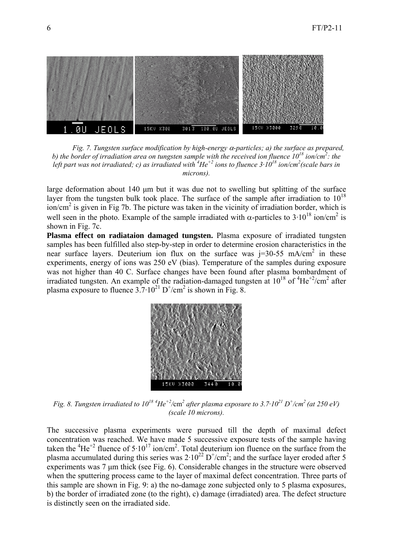

*Fig. 7. Tungsten surface modification by high-energy* α*-particles; a) the surface as prepared,*  b) the border of irradiation area on tungsten sample with the received ion fluence  $10^{18}$  ion/cm<sup>2</sup>: the left part was not irradiated; c) as irradiated with <sup>4</sup>He<sup>+2</sup> ions to fluence 3·10<sup>18</sup> ion/cm<sup>2</sup>(scale bars in *microns).* 

large deformation about 140 μm but it was due not to swelling but splitting of the surface layer from the tungsten bulk took place. The surface of the sample after irradiation to  $10^{18}$  $\sin$ /cm<sup>2</sup> is given in Fig 7b. The picture was taken in the vicinity of irradiation border, which is well seen in the photo. Example of the sample irradiated with  $\alpha$ -particles to 3·10<sup>18</sup> ion/cm<sup>2</sup> is shown in Fig. 7c.

**Plasma effect on radiataion damaged tungsten.** Plasma exposure of irradiated tungsten samples has been fulfilled also step-by-step in order to determine erosion characteristics in the near surface layers. Deuterium ion flux on the surface was  $j=30-55$  mA/cm<sup>2</sup> in these experiments, energy of ions was 250 eV (bias). Temperature of the samples during exposure was not higher than 40 C. Surface changes have been found after plasma bombardment of irradiated tungsten. An example of the radiation-damaged tungsten at  $10^{18}$  of  $4He^{+2}/cm^2$  after plasma exposure to fluence  $3.7 \cdot 10^{21}$  D<sup>+</sup>/cm<sup>2</sup> is shown in Fig. 8.



*Fig. 8. Tungsten irradiated to*  $10^{18}$  *<sup>4</sup>He<sup>+2</sup>/cm<sup>2</sup> after plasma exposure to 3.7·10<sup>21</sup> D<sup>+</sup>/cm<sup>2</sup> (at 250 eV) (scale 10 microns).* 

The successive plasma experiments were pursued till the depth of maximal defect concentration was reached. We have made 5 successive exposure tests of the sample having taken the  ${}^{4}He^{+2}$  fluence of  $5.10^{17}$  ion/cm<sup>2</sup>. Total deuterium ion fluence on the surface from the plasma accumulated during this series was  $2 \cdot 10^{22}$  D<sup>+</sup>/cm<sup>2</sup>; and the surface layer eroded after 5 experiments was 7 μm thick (see Fig. 6). Considerable changes in the structure were observed when the sputtering process came to the layer of maximal defect concentration. Three parts of this sample are shown in Fig. 9: a) the no-damage zone subjected only to 5 plasma exposures, b) the border of irradiated zone (to the right), c) damage (irradiated) area. The defect structure is distinctly seen on the irradiated side.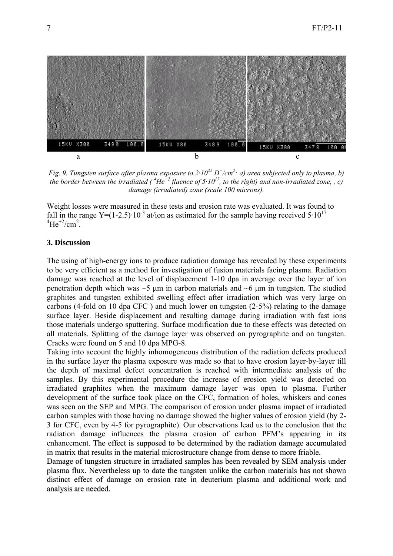

*Fig.* 9. Tungsten surface after plasma exposure to  $2 \cdot 10^{22}$  D<sup>+</sup>/cm<sup>2</sup>: a) area subjected only to plasma, b) *the border between the irradiated (*  ${}^{4}He$ <sup> $+2$ </sup> *fluence of 5 · 10<sup>17</sup>, to the right) and non-irradiated zone, , c) damage (irradiated) zone (scale 100 microns).* 

Weight losses were measured in these tests and erosion rate was evaluated. It was found to fall in the range Y=(1-2.5)·10<sup>-3</sup> at/ion as estimated for the sample having received  $5.10^{17}$  $^{4}$ He<sup>+2</sup>/cm<sup>2</sup>.

#### **3. Discussion**

The using of high-energy ions to produce radiation damage has revealed by these experiments to be very efficient as a method for investigation of fusion materials facing plasma. Radiation damage was reached at the level of displacement 1-10 dpa in average over the layer of ion penetration depth which was  $\sim$ 5 μm in carbon materials and  $\sim$ 6 μm in tungsten. The studied graphites and tungsten exhibited swelling effect after irradiation which was very large on carbons (4-fold on 10 dpa CFC ) and much lower on tungsten (2-5%) relating to the damage surface layer. Beside displacement and resulting damage during irradiation with fast ions those materials undergo sputtering. Surface modification due to these effects was detected on all materials. Splitting of the damage layer was observed on pyrographite and on tungsten. Cracks were found on 5 and 10 dpa MPG-8.

Taking into account the highly inhomogeneous distribution of the radiation defects produced in the surface layer the plasma exposure was made so that to have erosion layer-by-layer till the depth of maximal defect concentration is reached with intermediate analysis of the samples. By this experimental procedure the increase of erosion yield was detected on irradiated graphites when the maximum damage layer was open to plasma. Further development of the surface took place on the CFC, formation of holes, whiskers and cones was seen on the SEP and MPG. The comparison of erosion under plasma impact of irradiated carbon samples with those having no damage showed the higher values of erosion yield (by 2- 3 for CFC, even by 4-5 for pyrographite). Our observations lead us to the conclusion that the radiation damage influences the plasma erosion of carbon PFM's appearing in its enhancement. The effect is supposed to be determined by the radiation damage accumulated in matrix that results in the material microstructure change from dense to more friable.

Damage of tungsten structure in irradiated samples has been revealed by SEM analysis under plasma flux. Nevertheless up to date the tungsten unlike the carbon materials has not shown distinct effect of damage on erosion rate in deuterium plasma and additional work and analysis are needed.